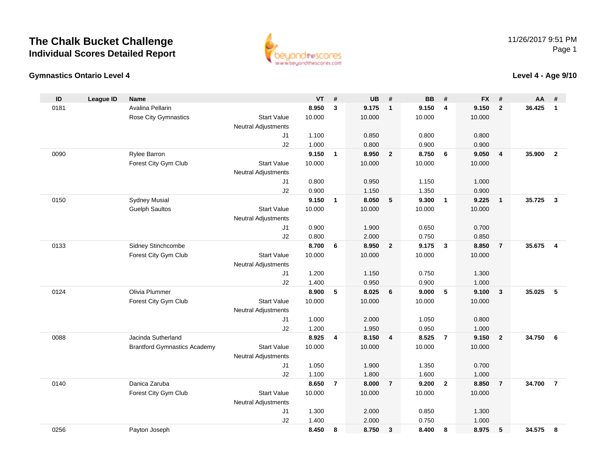

### **Gymnastics Ontario Level 4**

**Level 4 - Age 9/10**

| ID   | <b>League ID</b> | Name                                |                            | <b>VT</b> | #              | <b>UB</b> | #                       | <b>BB</b> | #                       | <b>FX</b> | #                       | AA     | #                       |
|------|------------------|-------------------------------------|----------------------------|-----------|----------------|-----------|-------------------------|-----------|-------------------------|-----------|-------------------------|--------|-------------------------|
| 0181 |                  | Avalina Pellarin                    |                            | 8.950     | $\mathbf{3}$   | 9.175     | $\overline{1}$          | 9.150     | $\overline{4}$          | 9.150     | $\overline{2}$          | 36.425 | $\mathbf{1}$            |
|      |                  | <b>Rose City Gymnastics</b>         | <b>Start Value</b>         | 10.000    |                | 10.000    |                         | 10.000    |                         | 10.000    |                         |        |                         |
|      |                  |                                     | <b>Neutral Adjustments</b> |           |                |           |                         |           |                         |           |                         |        |                         |
|      |                  |                                     | J1                         | 1.100     |                | 0.850     |                         | 0.800     |                         | 0.800     |                         |        |                         |
|      |                  |                                     | J2                         | 1.000     |                | 0.800     |                         | 0.900     |                         | 0.900     |                         |        |                         |
| 0090 |                  | Rylee Barron                        |                            | 9.150     | $\mathbf{1}$   | 8.950     | $\overline{\mathbf{2}}$ | 8.750     | 6                       | 9.050     | $\overline{4}$          | 35.900 | $\overline{2}$          |
|      |                  | Forest City Gym Club                | <b>Start Value</b>         | 10.000    |                | 10.000    |                         | 10.000    |                         | 10.000    |                         |        |                         |
|      |                  |                                     | <b>Neutral Adjustments</b> |           |                |           |                         |           |                         |           |                         |        |                         |
|      |                  |                                     | J1                         | 0.800     |                | 0.950     |                         | 1.150     |                         | 1.000     |                         |        |                         |
|      |                  |                                     | J2                         | 0.900     |                | 1.150     |                         | 1.350     |                         | 0.900     |                         |        |                         |
| 0150 |                  | <b>Sydney Musial</b>                |                            | 9.150     | $\mathbf{1}$   | 8.050     | 5                       | 9.300     | $\overline{1}$          | 9.225     | $\overline{1}$          | 35.725 | $\mathbf{3}$            |
|      |                  | <b>Guelph Saultos</b>               | <b>Start Value</b>         | 10.000    |                | 10.000    |                         | 10.000    |                         | 10.000    |                         |        |                         |
|      |                  |                                     | <b>Neutral Adjustments</b> |           |                |           |                         |           |                         |           |                         |        |                         |
|      |                  |                                     | J1                         | 0.900     |                | 1.900     |                         | 0.650     |                         | 0.700     |                         |        |                         |
|      |                  |                                     | J2                         | 0.800     |                | 2.000     |                         | 0.750     |                         | 0.850     |                         |        |                         |
| 0133 |                  | Sidney Stinchcombe                  |                            | 8.700     | 6              | 8.950     | $\overline{2}$          | 9.175     | $\overline{\mathbf{3}}$ | 8.850     | $\overline{7}$          | 35.675 | $\overline{\mathbf{4}}$ |
|      |                  | Forest City Gym Club                | <b>Start Value</b>         | 10.000    |                | 10.000    |                         | 10.000    |                         | 10.000    |                         |        |                         |
|      |                  |                                     | <b>Neutral Adjustments</b> |           |                |           |                         |           |                         |           |                         |        |                         |
|      |                  |                                     | J1                         | 1.200     |                | 1.150     |                         | 0.750     |                         | 1.300     |                         |        |                         |
|      |                  |                                     | J2                         | 1.400     |                | 0.950     |                         | 0.900     |                         | 1.000     |                         |        |                         |
| 0124 |                  | Olivia Plummer                      |                            | 8.900     | 5              | 8.025     | 6                       | 9.000     | 5                       | 9.100     | $\overline{\mathbf{3}}$ | 35.025 | 5                       |
|      |                  | Forest City Gym Club                | <b>Start Value</b>         | 10.000    |                | 10.000    |                         | 10.000    |                         | 10.000    |                         |        |                         |
|      |                  |                                     | <b>Neutral Adjustments</b> |           |                |           |                         |           |                         |           |                         |        |                         |
|      |                  |                                     | J1                         | 1.000     |                | 2.000     |                         | 1.050     |                         | 0.800     |                         |        |                         |
|      |                  |                                     | J2                         | 1.200     |                | 1.950     |                         | 0.950     |                         | 1.000     |                         |        |                         |
| 0088 |                  | Jacinda Sutherland                  |                            | 8.925     | $\overline{4}$ | 8.150     | $\overline{4}$          | 8.525     | $\overline{7}$          | 9.150     | $\overline{2}$          | 34.750 | 6                       |
|      |                  | <b>Brantford Gymnastics Academy</b> | <b>Start Value</b>         | 10.000    |                | 10.000    |                         | 10.000    |                         | 10.000    |                         |        |                         |
|      |                  |                                     | <b>Neutral Adjustments</b> |           |                |           |                         |           |                         |           |                         |        |                         |
|      |                  |                                     | J1                         | 1.050     |                | 1.900     |                         | 1.350     |                         | 0.700     |                         |        |                         |
|      |                  |                                     | J2                         | 1.100     |                | 1.800     |                         | 1.600     |                         | 1.000     |                         |        |                         |
| 0140 |                  | Danica Zaruba                       |                            | 8.650     | $\overline{7}$ | 8.000     | $\overline{7}$          | 9.200     | $\overline{2}$          | 8.850     | $\overline{7}$          | 34.700 | $\overline{7}$          |
|      |                  | Forest City Gym Club                | <b>Start Value</b>         | 10.000    |                | 10.000    |                         | 10.000    |                         | 10.000    |                         |        |                         |
|      |                  |                                     | <b>Neutral Adjustments</b> |           |                |           |                         |           |                         |           |                         |        |                         |
|      |                  |                                     | J <sub>1</sub>             | 1.300     |                | 2.000     |                         | 0.850     |                         | 1.300     |                         |        |                         |
|      |                  |                                     | J2                         | 1.400     |                | 2.000     |                         | 0.750     |                         | 1.000     |                         |        |                         |
| 0256 |                  | Payton Joseph                       |                            | 8.450     | 8              | 8.750     | $\mathbf{3}$            | 8.400     | 8                       | 8.975     | 5                       | 34.575 | 8                       |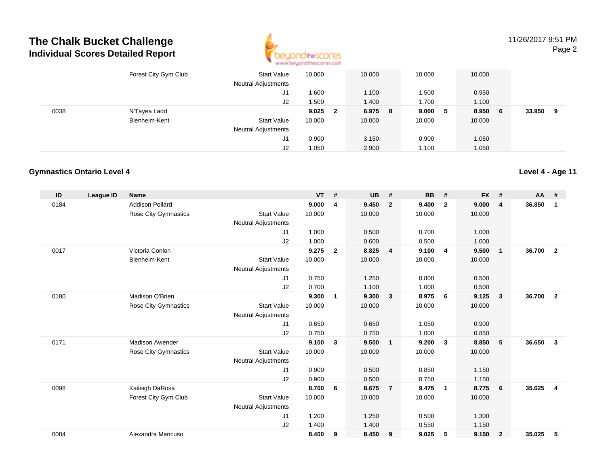

11/26/2017 9:51 PMPage 2

|      | Forest City Gym Club | <b>Start Value</b><br><b>Neutral Adjustments</b> | 10.000 |              | 10.000  | 10.000 |     | 10.000 |    |        |   |
|------|----------------------|--------------------------------------------------|--------|--------------|---------|--------|-----|--------|----|--------|---|
|      |                      | J1                                               | 1.600  |              | 1.100   | 1.500  |     | 0.950  |    |        |   |
|      |                      | J2                                               | 1.500  |              | 1.400   | 1.700  |     | 1.100  |    |        |   |
| 0038 | N'Tayea Ladd         |                                                  | 9.025  | $\mathbf{2}$ | 6.975 8 | 9.000  | - 5 | 8.950  | -6 | 33.950 | 9 |
|      | Blenheim-Kent        | <b>Start Value</b>                               | 10.000 |              | 10.000  | 10.000 |     | 10.000 |    |        |   |
|      |                      | <b>Neutral Adjustments</b>                       |        |              |         |        |     |        |    |        |   |
|      |                      | J1                                               | 0.900  |              | 3.150   | 0.900  |     | 1.050  |    |        |   |
|      |                      | J2                                               | 1.050  |              | 2.900   | 1.100  |     | 1.050  |    |        |   |

#### **Gymnastics Ontario Level 4**

| ID   | <b>League ID</b> | <b>Name</b>                 |                            | <b>VT</b> | #              | <b>UB</b> | #              | <b>BB</b> | #                       | <b>FX</b> | #              | <b>AA</b> | #              |
|------|------------------|-----------------------------|----------------------------|-----------|----------------|-----------|----------------|-----------|-------------------------|-----------|----------------|-----------|----------------|
| 0184 |                  | <b>Addison Pollard</b>      |                            | 9.000     | 4              | 9.450     | $\overline{2}$ | 9.400     | $\overline{2}$          | 9.000     | 4              | 36.850    | 1              |
|      |                  | Rose City Gymnastics        | <b>Start Value</b>         | 10.000    |                | 10.000    |                | 10.000    |                         | 10.000    |                |           |                |
|      |                  |                             | <b>Neutral Adjustments</b> |           |                |           |                |           |                         |           |                |           |                |
|      |                  |                             | J1                         | 1.000     |                | 0.500     |                | 0.700     |                         | 1.000     |                |           |                |
|      |                  |                             | J2                         | 1.000     |                | 0.600     |                | 0.500     |                         | 1.000     |                |           |                |
| 0017 |                  | Victoria Conlon             |                            | 9.275     | $\overline{2}$ | 8.825     | $\overline{4}$ | 9.100     | $\overline{4}$          | 9.500     | $\mathbf{1}$   | 36.700    | $\overline{2}$ |
|      |                  | Blenheim-Kent               | <b>Start Value</b>         | 10.000    |                | 10.000    |                | 10.000    |                         | 10.000    |                |           |                |
|      |                  |                             | <b>Neutral Adjustments</b> |           |                |           |                |           |                         |           |                |           |                |
|      |                  |                             | J <sub>1</sub>             | 0.750     |                | 1.250     |                | 0.800     |                         | 0.500     |                |           |                |
|      |                  |                             | J2                         | 0.700     |                | 1.100     |                | 1.000     |                         | 0.500     |                |           |                |
| 0180 |                  | Madison O'Brien             |                            | 9.300     | 1              | 9.300     | $\mathbf{3}$   | 8.975     | - 6                     | 9.125     | 3              | 36.700    | $\overline{2}$ |
|      |                  | <b>Rose City Gymnastics</b> | <b>Start Value</b>         | 10.000    |                | 10.000    |                | 10.000    |                         | 10.000    |                |           |                |
|      |                  |                             | <b>Neutral Adjustments</b> |           |                |           |                |           |                         |           |                |           |                |
|      |                  |                             | J1                         | 0.650     |                | 0.650     |                | 1.050     |                         | 0.900     |                |           |                |
|      |                  |                             | J2                         | 0.750     |                | 0.750     |                | 1.000     |                         | 0.850     |                |           |                |
| 0171 |                  | <b>Madison Awender</b>      |                            | 9.100     | 3              | 9.500     | $\overline{1}$ | 9.200     | $\overline{\mathbf{3}}$ | 8.850     | 5              | 36.650    | $\mathbf{3}$   |
|      |                  | <b>Rose City Gymnastics</b> | <b>Start Value</b>         | 10.000    |                | 10.000    |                | 10.000    |                         | 10.000    |                |           |                |
|      |                  |                             | <b>Neutral Adjustments</b> |           |                |           |                |           |                         |           |                |           |                |
|      |                  |                             | J1                         | 0.900     |                | 0.500     |                | 0.850     |                         | 1.150     |                |           |                |
|      |                  |                             | J2                         | 0.900     |                | 0.500     |                | 0.750     |                         | 1.150     |                |           |                |
| 0098 |                  | Kaileigh DaRosa             |                            | 8.700     | 6              | 8.675     | $\overline{7}$ | 9.475     | $\overline{1}$          | 8.775     | 6              | 35.625    | $\overline{4}$ |
|      |                  | Forest City Gym Club        | <b>Start Value</b>         | 10.000    |                | 10.000    |                | 10.000    |                         | 10.000    |                |           |                |
|      |                  |                             | <b>Neutral Adjustments</b> |           |                |           |                |           |                         |           |                |           |                |
|      |                  |                             | J <sub>1</sub>             | 1.200     |                | 1.250     |                | 0.500     |                         | 1.300     |                |           |                |
|      |                  |                             | J2                         | 1.400     |                | 1.400     |                | 0.550     |                         | 1.150     |                |           |                |
| 0084 |                  | Alexandra Mancuso           |                            | 8.400     | 9              | 8.450     | 9              | 9.025     | 5                       | 9.150     | $\overline{2}$ | 35.025    | 5              |
|      |                  |                             |                            |           |                |           |                |           |                         |           |                |           |                |

**Level 4 - Age 11**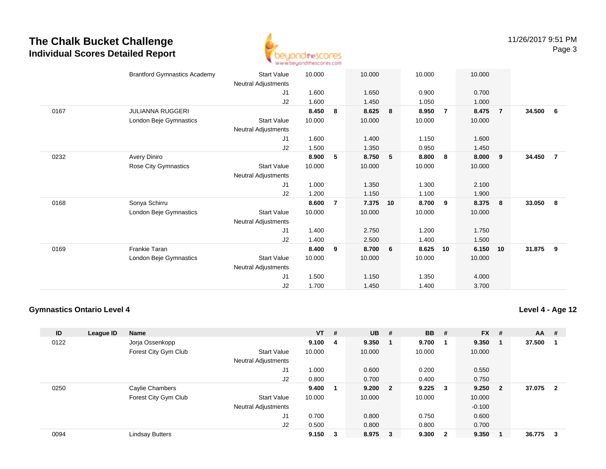

|      | <b>Brantford Gymnastics Academy</b> | <b>Start Value</b>         | 10.000 |                | 10.000 |                 | 10.000 |                | 10.000 |                         |        |                |
|------|-------------------------------------|----------------------------|--------|----------------|--------|-----------------|--------|----------------|--------|-------------------------|--------|----------------|
|      |                                     | Neutral Adjustments        |        |                |        |                 |        |                |        |                         |        |                |
|      |                                     | J1                         | 1.600  |                | 1.650  |                 | 0.900  |                | 0.700  |                         |        |                |
|      |                                     | J2                         | 1.600  |                | 1.450  |                 | 1.050  |                | 1.000  |                         |        |                |
| 0167 | <b>JULIANNA RUGGERI</b>             |                            | 8.450  | 8              | 8.625  | 8               | 8.950  | $\overline{7}$ | 8.475  | $\overline{7}$          | 34.500 | 6              |
|      | London Beje Gymnastics              | Start Value                | 10.000 |                | 10.000 |                 | 10.000 |                | 10.000 |                         |        |                |
|      |                                     | Neutral Adjustments        |        |                |        |                 |        |                |        |                         |        |                |
|      |                                     | J1                         | 1.600  |                | 1.400  |                 | 1.150  |                | 1.600  |                         |        |                |
|      |                                     | J2                         | 1.500  |                | 1.350  |                 | 0.950  |                | 1.450  |                         |        |                |
| 0232 | Avery Diniro                        |                            | 8.900  | 5              | 8.750  | 5               | 8.800  | 8              | 8.000  | 9                       | 34.450 | $\overline{7}$ |
|      | Rose City Gymnastics                | <b>Start Value</b>         | 10.000 |                | 10.000 |                 | 10.000 |                | 10.000 |                         |        |                |
|      |                                     | <b>Neutral Adjustments</b> |        |                |        |                 |        |                |        |                         |        |                |
|      |                                     | J1                         | 1.000  |                | 1.350  |                 | 1.300  |                | 2.100  |                         |        |                |
|      |                                     | J2                         | 1.200  |                | 1.150  |                 | 1.100  |                | 1.900  |                         |        |                |
| 0168 | Sonya Schirru                       |                            | 8.600  | $\overline{7}$ | 7.375  | 10              | 8.700  | 9              | 8.375  | $\overline{\mathbf{8}}$ | 33.050 | $_{\rm 8}$     |
|      | London Beje Gymnastics              | <b>Start Value</b>         | 10.000 |                | 10.000 |                 | 10.000 |                | 10.000 |                         |        |                |
|      |                                     | Neutral Adjustments        |        |                |        |                 |        |                |        |                         |        |                |
|      |                                     | J1                         | 1.400  |                | 2.750  |                 | 1.200  |                | 1.750  |                         |        |                |
|      |                                     | J2                         | 1.400  |                | 2.500  |                 | 1.400  |                | 1.500  |                         |        |                |
| 0169 | <b>Frankie Taran</b>                |                            | 8.400  | 9              | 8.700  | $6\overline{6}$ | 8.625  | 10             | 6.150  | 10                      | 31.875 | 9              |
|      | London Beje Gymnastics              | <b>Start Value</b>         | 10.000 |                | 10.000 |                 | 10.000 |                | 10.000 |                         |        |                |
|      |                                     | <b>Neutral Adjustments</b> |        |                |        |                 |        |                |        |                         |        |                |
|      |                                     | J1                         | 1.500  |                | 1.150  |                 | 1.350  |                | 4.000  |                         |        |                |
|      |                                     | J2                         | 1.700  |                | 1.450  |                 | 1.400  |                | 3.700  |                         |        |                |
|      |                                     |                            |        |                |        |                 |        |                |        |                         |        |                |

#### **Gymnastics Ontario Level 4**

**Level 4 - Age 12**

| ID   | League ID | <b>Name</b>            |                            | $VT$ # |   | <b>UB</b> | #                       | <b>BB</b> | #                       | <b>FX</b> | #                       | <b>AA</b> | #            |
|------|-----------|------------------------|----------------------------|--------|---|-----------|-------------------------|-----------|-------------------------|-----------|-------------------------|-----------|--------------|
| 0122 |           | Jorja Ossenkopp        |                            | 9.100  | 4 | 9.350     | - 1                     | 9.700     |                         | 9.350     |                         | 37.500    |              |
|      |           | Forest City Gym Club   | <b>Start Value</b>         | 10.000 |   | 10.000    |                         | 10.000    |                         | 10.000    |                         |           |              |
|      |           |                        | Neutral Adjustments        |        |   |           |                         |           |                         |           |                         |           |              |
|      |           |                        | J1                         | 1.000  |   | 0.600     |                         | 0.200     |                         | 0.550     |                         |           |              |
|      |           |                        | J2                         | 0.800  |   | 0.700     |                         | 0.400     |                         | 0.750     |                         |           |              |
| 0250 |           | Caylie Chambers        |                            | 9.400  |   | 9.200     | $\overline{\mathbf{2}}$ | 9.225     | - 3                     | 9.250     | $\overline{\mathbf{2}}$ | 37.075    | $\mathbf{2}$ |
|      |           | Forest City Gym Club   | <b>Start Value</b>         | 10.000 |   | 10.000    |                         | 10.000    |                         | 10.000    |                         |           |              |
|      |           |                        | <b>Neutral Adjustments</b> |        |   |           |                         |           |                         | $-0.100$  |                         |           |              |
|      |           |                        | J1                         | 0.700  |   | 0.800     |                         | 0.750     |                         | 0.600     |                         |           |              |
|      |           |                        | J2                         | 0.500  |   | 0.800     |                         | 0.800     |                         | 0.700     |                         |           |              |
| 0094 |           | <b>Lindsay Butters</b> |                            | 9.150  | 3 | 8.975     | $\overline{\mathbf{3}}$ | 9.300     | $\overline{\mathbf{2}}$ | 9.350     |                         | 36.775    | 3            |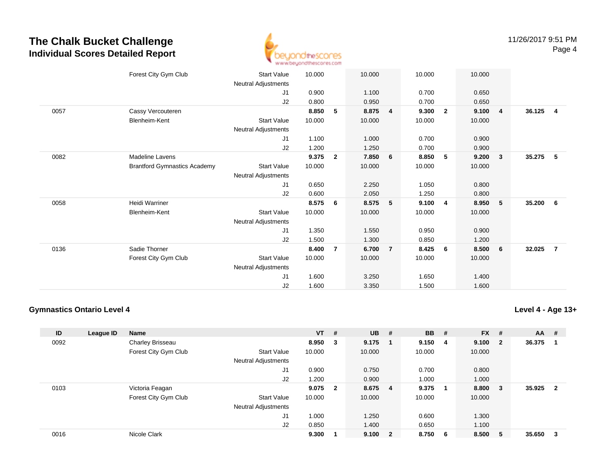

|      | Forest City Gym Club                | <b>Start Value</b>         | 10.000 |                | 10.000 |                | 10.000 |                | 10.000 |                         |        |                         |
|------|-------------------------------------|----------------------------|--------|----------------|--------|----------------|--------|----------------|--------|-------------------------|--------|-------------------------|
|      |                                     | Neutral Adjustments        |        |                |        |                |        |                |        |                         |        |                         |
|      |                                     | J1                         | 0.900  |                | 1.100  |                | 0.700  |                | 0.650  |                         |        |                         |
|      |                                     | J2                         | 0.800  |                | 0.950  |                | 0.700  |                | 0.650  |                         |        |                         |
| 0057 | Cassy Vercouteren                   |                            | 8.850  | 5              | 8.875  | $\overline{4}$ | 9.300  | $\overline{2}$ | 9.100  | $\overline{4}$          | 36.125 | $\overline{\mathbf{4}}$ |
|      | Blenheim-Kent                       | <b>Start Value</b>         | 10.000 |                | 10.000 |                | 10.000 |                | 10.000 |                         |        |                         |
|      |                                     | Neutral Adjustments        |        |                |        |                |        |                |        |                         |        |                         |
|      |                                     | J1                         | 1.100  |                | 1.000  |                | 0.700  |                | 0.900  |                         |        |                         |
|      |                                     | J2                         | 1.200  |                | 1.250  |                | 0.700  |                | 0.900  |                         |        |                         |
| 0082 | <b>Madeline Lavens</b>              |                            | 9.375  | $\mathbf{2}$   | 7.850  | 6              | 8.850  | 5              | 9.200  | $\overline{\mathbf{3}}$ | 35.275 | - 5                     |
|      | <b>Brantford Gymnastics Academy</b> | <b>Start Value</b>         | 10.000 |                | 10.000 |                | 10.000 |                | 10.000 |                         |        |                         |
|      |                                     | <b>Neutral Adjustments</b> |        |                |        |                |        |                |        |                         |        |                         |
|      |                                     | J1                         | 0.650  |                | 2.250  |                | 1.050  |                | 0.800  |                         |        |                         |
|      |                                     | J2                         | 0.600  |                | 2.050  |                | 1.250  |                | 0.800  |                         |        |                         |
| 0058 | <b>Heidi Warriner</b>               |                            | 8.575  | 6              | 8.575  | 5              | 9.100  | 4              | 8.950  | $-5$                    | 35.200 | 6                       |
|      | Blenheim-Kent                       | <b>Start Value</b>         | 10.000 |                | 10.000 |                | 10.000 |                | 10.000 |                         |        |                         |
|      |                                     | Neutral Adjustments        |        |                |        |                |        |                |        |                         |        |                         |
|      |                                     | J1                         | 1.350  |                | 1.550  |                | 0.950  |                | 0.900  |                         |        |                         |
|      |                                     | J2                         | 1.500  |                | 1.300  |                | 0.850  |                | 1.200  |                         |        |                         |
| 0136 | Sadie Thorner                       |                            | 8.400  | $\overline{7}$ | 6.700  | $\overline{7}$ | 8.425  | 6              | 8.500  | 6                       | 32.025 | $\overline{7}$          |
|      | Forest City Gym Club                | <b>Start Value</b>         | 10.000 |                | 10.000 |                | 10.000 |                | 10.000 |                         |        |                         |
|      |                                     | <b>Neutral Adjustments</b> |        |                |        |                |        |                |        |                         |        |                         |
|      |                                     | J1                         | 1.600  |                | 3.250  |                | 1.650  |                | 1.400  |                         |        |                         |
|      |                                     | J <sub>2</sub>             | 1.600  |                | 3.350  |                | 1.500  |                | 1.600  |                         |        |                         |
|      |                                     |                            |        |                |        |                |        |                |        |                         |        |                         |

#### **Gymnastics Ontario Level 4**

**Level 4 - Age 13+**

| ID   | League ID | <b>Name</b>          |                            | $VT$ #  |                         | $UB$ # |                         | <b>BB</b> | - # | <b>FX</b> | #                       | <b>AA</b> | #                       |
|------|-----------|----------------------|----------------------------|---------|-------------------------|--------|-------------------------|-----------|-----|-----------|-------------------------|-----------|-------------------------|
| 0092 |           | Charley Brisseau     |                            | 8.950 3 |                         | 9.175  | - 1                     | 9.150     | - 4 | 9.100     | $\overline{\mathbf{2}}$ | 36.375    |                         |
|      |           | Forest City Gym Club | <b>Start Value</b>         | 10.000  |                         | 10.000 |                         | 10.000    |     | 10.000    |                         |           |                         |
|      |           |                      | <b>Neutral Adjustments</b> |         |                         |        |                         |           |     |           |                         |           |                         |
|      |           |                      | J <sub>1</sub>             | 0.900   |                         | 0.750  |                         | 0.700     |     | 0.800     |                         |           |                         |
|      |           |                      | J <sub>2</sub>             | 1.200   |                         | 0.900  |                         | 1.000     |     | 1.000     |                         |           |                         |
| 0103 |           | Victoria Feagan      |                            | 9.075   | $\overline{\mathbf{2}}$ | 8.675  | - 4                     | 9.375     |     | 8.800     | - 3                     | 35.925    | $\overline{\mathbf{2}}$ |
|      |           | Forest City Gym Club | <b>Start Value</b>         | 10.000  |                         | 10.000 |                         | 10.000    |     | 10.000    |                         |           |                         |
|      |           |                      | <b>Neutral Adjustments</b> |         |                         |        |                         |           |     |           |                         |           |                         |
|      |           |                      | J <sub>1</sub>             | 1.000   |                         | 1.250  |                         | 0.600     |     | 1.300     |                         |           |                         |
|      |           |                      | J2                         | 0.850   |                         | 1.400  |                         | 0.650     |     | 1.100     |                         |           |                         |
| 0016 |           | Nicole Clark         |                            | 9.300   |                         | 9.100  | $\overline{\mathbf{2}}$ | 8.750     | - 6 | 8.500     | -5                      | 35.650    | -3                      |